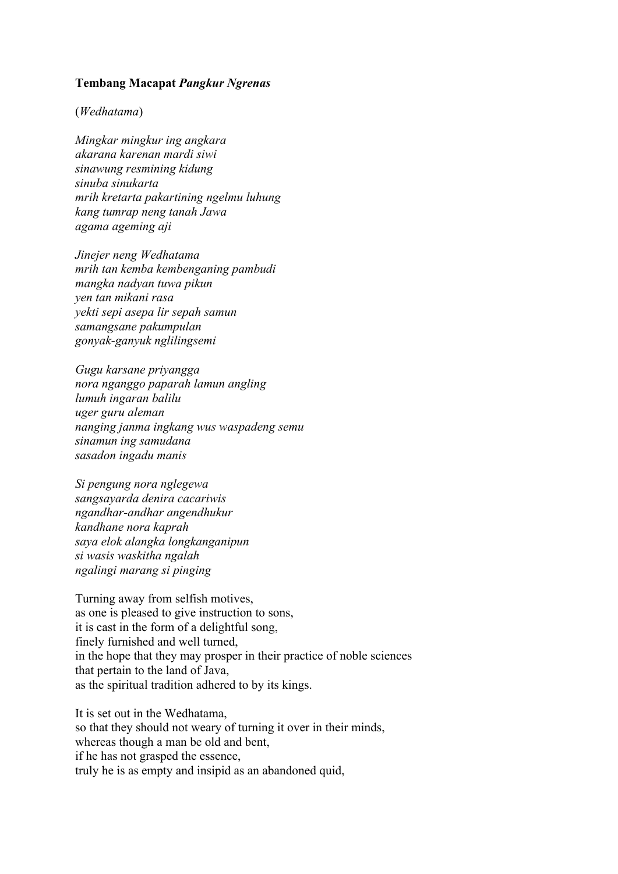## **Tembang Macapat** *Pangkur Ngrenas*

## (*Wedhatama*)

*Mingkar mingkur ing angkara akarana karenan mardi siwi sinawung resmining kidung sinuba sinukarta mrih kretarta pakartining ngelmu luhung kang tumrap neng tanah Jawa agama ageming aji*

*Jinejer neng Wedhatama mrih tan kemba kembenganing pambudi mangka nadyan tuwa pikun yen tan mikani rasa yekti sepi asepa lir sepah samun samangsane pakumpulan gonyak-ganyuk nglilingsemi*

*Gugu karsane priyangga nora nganggo paparah lamun angling lumuh ingaran balilu uger guru aleman nanging janma ingkang wus waspadeng semu sinamun ing samudana sasadon ingadu manis*

*Si pengung nora nglegewa sangsayarda denira cacariwis ngandhar-andhar angendhukur kandhane nora kaprah saya elok alangka longkanganipun si wasis waskitha ngalah ngalingi marang si pinging*

Turning away from selfish motives, as one is pleased to give instruction to sons, it is cast in the form of a delightful song, finely furnished and well turned, in the hope that they may prosper in their practice of noble sciences that pertain to the land of Java, as the spiritual tradition adhered to by its kings.

It is set out in the Wedhatama, so that they should not weary of turning it over in their minds, whereas though a man be old and bent, if he has not grasped the essence, truly he is as empty and insipid as an abandoned quid,